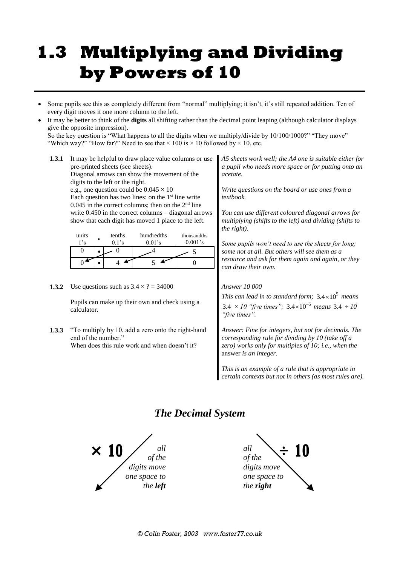## **1.3 Multiplying and Dividing by Powers of 10**

 Some pupils see this as completely different from "normal" multiplying; it isn't, it's still repeated addition. Ten of every digit moves it one more column to the left.

 It may be better to think of the **digits** all shifting rather than the decimal point leaping (although calculator displays give the opposite impression). So the key question is "What happens to all the digits when we multiply/divide by 10/100/1000?" "They move"

"Which way?" "How far?" Need to see that  $\times$  100 is  $\times$  10 followed by  $\times$  10, etc.

- **1.3.1** It may be helpful to draw place value columns or use pre-printed sheets (see sheets). Diagonal arrows can show the movement of the digits to the left or the right. e.g., one question could be  $0.045 \times 10$ Each question has two lines: on the  $1<sup>st</sup>$  line write 0.045 in the correct columns; then on the  $2<sup>nd</sup>$  line write 0.450 in the correct columns – diagonal arrows show that each digit has moved 1 place to the left. units 1's **•** tenths 0.1's hundredths 0.01's thousandths 0.001's  $\frac{0}{0}$  $0 \quad 4 \quad 5$  $0$  •  $4$  **•**  $5$  **•**  $0$ *A5 sheets work well; the A4 one is suitable either for a pupil who needs more space or for putting onto an acetate. Write questions on the board or use ones from a textbook. You can use different coloured diagonal arrows for multiplying (shifts to the left) and dividing (shifts to the right). Some pupils won't need to use the sheets for long; some not at all. But others will see them as a resource and ask for them again and again, or they can draw their own.*
- **1.3.2** Use questions such as  $3.4 \times ? = 34000$

Pupils can make up their own and check using a calculator.

**1.3.3** "To multiply by 10, add a zero onto the right-hand end of the number." When does this rule work and when doesn't it?

## *Answer 10 000*

This can lead in to standard form;  $3.4 \times 10^5$  means 3.4  $\times$  10 "five times";  $3.4 \times 10^{-5}$  means  $3.4 \div 10^{-5}$ *"five times".*

*Answer: Fine for integers, but not for decimals. The corresponding rule for dividing by 10 (take off a zero) works only for multiples of 10; i.e., when the*  answer *is an integer.*

*This is an example of a rule that is appropriate in certain contexts but not in others (as most rules are).*

## *The Decimal System*



*all of the digits move one space to the right*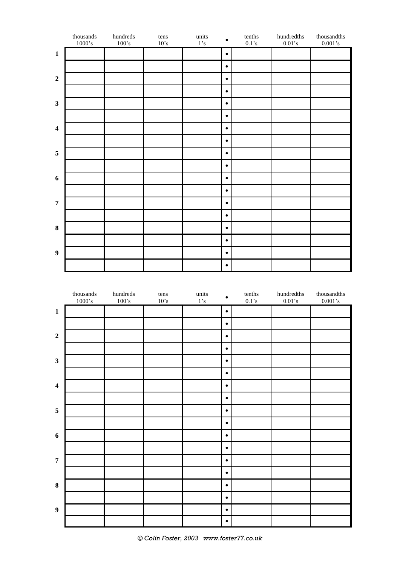|                         | thousands $1000 \text{'s}$ | $\,$ hundreds<br>$100's$ | $tens$<br>$10^{\circ}\text{s}$ | $\,$ units<br>$1's$ | $\bullet$ | tenths<br>$0.1\ensuremath{^\circ} \text{s}$ | hundredths<br>$0.01\, \mathrm{s}$ | $thous and this$<br>$0.001\, \mathrm{s}$ |
|-------------------------|----------------------------|--------------------------|--------------------------------|---------------------|-----------|---------------------------------------------|-----------------------------------|------------------------------------------|
| $\mathbf 1$             |                            |                          |                                |                     | $\bullet$ |                                             |                                   |                                          |
|                         |                            |                          |                                |                     | $\bullet$ |                                             |                                   |                                          |
| $\boldsymbol{2}$        |                            |                          |                                |                     | $\bullet$ |                                             |                                   |                                          |
|                         |                            |                          |                                |                     | $\bullet$ |                                             |                                   |                                          |
| $\mathbf{3}$            |                            |                          |                                |                     | $\bullet$ |                                             |                                   |                                          |
|                         |                            |                          |                                |                     | $\bullet$ |                                             |                                   |                                          |
| $\overline{\mathbf{4}}$ |                            |                          |                                |                     | $\bullet$ |                                             |                                   |                                          |
|                         |                            |                          |                                |                     | $\bullet$ |                                             |                                   |                                          |
| $\sqrt{5}$              |                            |                          |                                |                     | $\bullet$ |                                             |                                   |                                          |
|                         |                            |                          |                                |                     | $\bullet$ |                                             |                                   |                                          |
| $\boldsymbol{6}$        |                            |                          |                                |                     | $\bullet$ |                                             |                                   |                                          |
|                         |                            |                          |                                |                     | $\bullet$ |                                             |                                   |                                          |
| $\overline{7}$          |                            |                          |                                |                     | $\bullet$ |                                             |                                   |                                          |
|                         |                            |                          |                                |                     | $\bullet$ |                                             |                                   |                                          |
| $\bf{8}$                |                            |                          |                                |                     | $\bullet$ |                                             |                                   |                                          |
|                         |                            |                          |                                |                     | $\bullet$ |                                             |                                   |                                          |
| $\boldsymbol{9}$        |                            |                          |                                |                     | $\bullet$ |                                             |                                   |                                          |
|                         |                            |                          |                                |                     | $\bullet$ |                                             |                                   |                                          |

|                         | $thous and s$<br>$1000\text{\textdegree s}$ | $\,$ hundreds<br>$100\ensuremath{^\circ}\mathrm{s}$ | $tens$<br>$10^{\circ}\text{s}$ | $\,$ units<br>$1\ensuremath{^\circ} \mathrm{s}$ | $\bullet$ | tenths $0.1$ 's | $\,$ hundred<br>ths $\,$<br>$0.01\ensuremath{^\circ}\mathrm{s}$ | $\,$ thousand<br>ths $\,$<br>$0.001\, \mathrm{s}$ |
|-------------------------|---------------------------------------------|-----------------------------------------------------|--------------------------------|-------------------------------------------------|-----------|-----------------|-----------------------------------------------------------------|---------------------------------------------------|
| $\mathbf 1$             |                                             |                                                     |                                |                                                 | $\bullet$ |                 |                                                                 |                                                   |
|                         |                                             |                                                     |                                |                                                 | $\bullet$ |                 |                                                                 |                                                   |
| $\mathbf 2$             |                                             |                                                     |                                |                                                 | $\bullet$ |                 |                                                                 |                                                   |
|                         |                                             |                                                     |                                |                                                 | $\bullet$ |                 |                                                                 |                                                   |
| $\mathbf{3}$            |                                             |                                                     |                                |                                                 | $\bullet$ |                 |                                                                 |                                                   |
|                         |                                             |                                                     |                                |                                                 | $\bullet$ |                 |                                                                 |                                                   |
| $\overline{\mathbf{4}}$ |                                             |                                                     |                                |                                                 | $\bullet$ |                 |                                                                 |                                                   |
|                         |                                             |                                                     |                                |                                                 | $\bullet$ |                 |                                                                 |                                                   |
| $\sqrt{5}$              |                                             |                                                     |                                |                                                 | $\bullet$ |                 |                                                                 |                                                   |
|                         |                                             |                                                     |                                |                                                 | $\bullet$ |                 |                                                                 |                                                   |
| $\boldsymbol{6}$        |                                             |                                                     |                                |                                                 | $\bullet$ |                 |                                                                 |                                                   |
|                         |                                             |                                                     |                                |                                                 | $\bullet$ |                 |                                                                 |                                                   |
| $\overline{7}$          |                                             |                                                     |                                |                                                 | $\bullet$ |                 |                                                                 |                                                   |
|                         |                                             |                                                     |                                |                                                 | $\bullet$ |                 |                                                                 |                                                   |
| $\bf{8}$                |                                             |                                                     |                                |                                                 | $\bullet$ |                 |                                                                 |                                                   |
|                         |                                             |                                                     |                                |                                                 | $\bullet$ |                 |                                                                 |                                                   |
| $\boldsymbol{9}$        |                                             |                                                     |                                |                                                 | $\bullet$ |                 |                                                                 |                                                   |
|                         |                                             |                                                     |                                |                                                 | $\bullet$ |                 |                                                                 |                                                   |